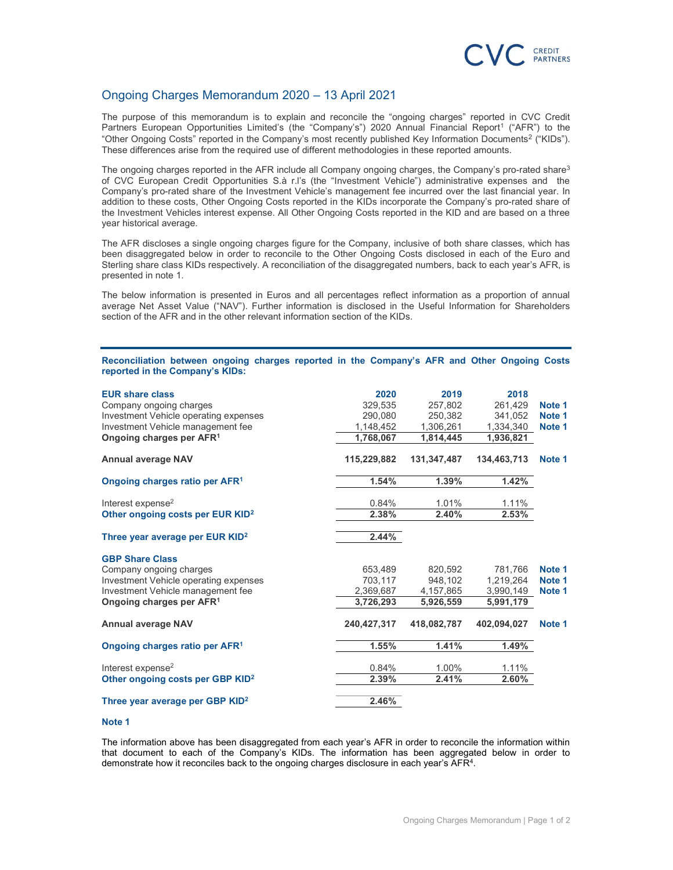

## Ongoing Charges Memorandum 2020 – 13 April 2021

The purpose of this memorandum is to explain and reconcile the "ongoing charges" reported in CVC Credit Partners European Opportunities Limited's (the "Company's") 2020 Annual Financial Report<sup>1</sup> ("AFR") to the "Other Ongoing Costs" reported in the Company's most recently published Key Information Documents<sup>2</sup> ("KIDs"). These differences arise from the required use of different methodologies in these reported amounts.

The ongoing charges reported in the AFR include all Company ongoing charges, the Company's pro-rated share<sup>3</sup> of CVC European Credit Opportunities S.à r.l's (the "Investment Vehicle") administrative expenses and the Company's pro-rated share of the Investment Vehicle's management fee incurred over the last financial year. In addition to these costs, Other Ongoing Costs reported in the KIDs incorporate the Company's pro-rated share of the Investment Vehicles interest expense. All Other Ongoing Costs reported in the KID and are based on a three year historical average.

The AFR discloses a single ongoing charges figure for the Company, inclusive of both share classes, which has been disaggregated below in order to reconcile to the Other Ongoing Costs disclosed in each of the Euro and Sterling share class KIDs respectively. A reconciliation of the disaggregated numbers, back to each year's AFR, is presented in note 1.

The below information is presented in Euros and all percentages reflect information as a proportion of annual average Net Asset Value ("NAV"). Further information is disclosed in the Useful Information for Shareholders section of the AFR and in the other relevant information section of the KIDs.

## Reconciliation between ongoing charges reported in the Company's AFR and Other Ongoing Costs reported in the Company's KIDs:

| <b>EUR share class</b><br>Company ongoing charges<br>Investment Vehicle operating expenses<br>Investment Vehicle management fee<br>Ongoing charges per AFR <sup>1</sup> | 2020<br>329,535<br>290.080<br>1,148,452<br>1,768,067 | 2019<br>257,802<br>250.382<br>1,306,261<br>1,814,445 | 2018<br>261,429<br>341.052<br>1,334,340<br>1,936,821 | Note 1<br>Note 1<br>Note 1 |
|-------------------------------------------------------------------------------------------------------------------------------------------------------------------------|------------------------------------------------------|------------------------------------------------------|------------------------------------------------------|----------------------------|
| <b>Annual average NAV</b>                                                                                                                                               | 115,229,882                                          | 131,347,487                                          | 134,463,713                                          | Note 1                     |
| Ongoing charges ratio per AFR <sup>1</sup>                                                                                                                              | 1.54%                                                | 1.39%                                                | 1.42%                                                |                            |
| Interest expense <sup>2</sup><br>Other ongoing costs per EUR KID <sup>2</sup>                                                                                           | 0.84%<br>2.38%                                       | 1.01%<br>2.40%                                       | 1.11%<br>2.53%                                       |                            |
| Three year average per EUR KID <sup>2</sup>                                                                                                                             | 2.44%                                                |                                                      |                                                      |                            |
| <b>GBP Share Class</b><br>Company ongoing charges<br>Investment Vehicle operating expenses<br>Investment Vehicle management fee<br>Ongoing charges per AFR <sup>1</sup> | 653,489<br>703,117<br>2,369,687<br>3,726,293         | 820.592<br>948,102<br>4,157,865<br>5,926,559         | 781.766<br>1,219,264<br>3,990,149<br>5.991.179       | Note 1<br>Note 1<br>Note 1 |
| <b>Annual average NAV</b>                                                                                                                                               | 240,427,317                                          | 418,082,787                                          | 402,094,027                                          | Note 1                     |
| Ongoing charges ratio per AFR <sup>1</sup>                                                                                                                              | 1.55%                                                | 1.41%                                                | 1.49%                                                |                            |
| Interest expense <sup>2</sup><br>Other ongoing costs per GBP KID <sup>2</sup>                                                                                           | 0.84%<br>2.39%                                       | 1.00%<br>2.41%                                       | 1.11%<br>2.60%                                       |                            |
| Three year average per GBP KID <sup>2</sup>                                                                                                                             | 2.46%                                                |                                                      |                                                      |                            |

## Note 1

The information above has been disaggregated from each year's AFR in order to reconcile the information within that document to each of the Company's KIDs. The information has been aggregated below in order to demonstrate how it reconciles back to the ongoing charges disclosure in each year's AFR<sup>4</sup>.